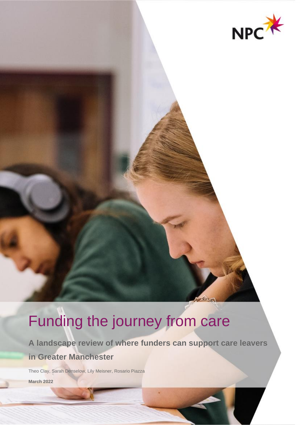

# Funding the journey from care

**A landscape review of where funders can support care leavers in Greater Manchester**

**DANSIN** 

Theo Clay, Sarah Denselow, Lily Meisner, Rosario Piazza

**March 2022**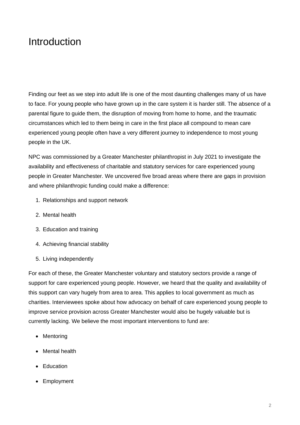## **Introduction**

Finding our feet as we step into adult life is one of the most daunting challenges many of us have to face. For young people who have grown up in the care system it is harder still. The absence of a parental figure to guide them, the disruption of moving from home to home, and the traumatic circumstances which led to them being in care in the first place all compound to mean care experienced young people often have a very different journey to independence to most young people in the UK.

NPC was commissioned by a Greater Manchester philanthropist in July 2021 to investigate the availability and effectiveness of charitable and statutory services for care experienced young people in Greater Manchester. We uncovered five broad areas where there are gaps in provision and where philanthropic funding could make a difference:

- 1. Relationships and support network
- 2. Mental health
- 3. Education and training
- 4. Achieving financial stability
- 5. Living independently

For each of these, the Greater Manchester voluntary and statutory sectors provide a range of support for care experienced young people. However, we heard that the quality and availability of this support can vary hugely from area to area. This applies to local government as much as charities. Interviewees spoke about how advocacy on behalf of care experienced young people to improve service provision across Greater Manchester would also be hugely valuable but is currently lacking. We believe the most important interventions to fund are:

- Mentoring
- Mental health
- Education
- Employment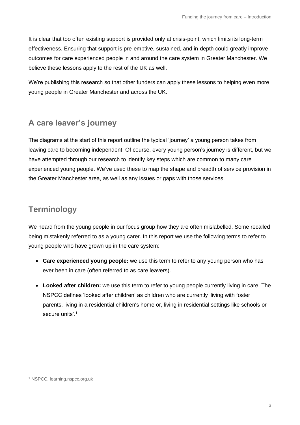It is clear that too often existing support is provided only at crisis-point, which limits its long-term effectiveness. Ensuring that support is pre-emptive, sustained, and in-depth could greatly improve outcomes for care experienced people in and around the care system in Greater Manchester. We believe these lessons apply to the rest of the UK as well.

We're publishing this research so that other funders can apply these lessons to helping even more young people in Greater Manchester and across the UK.

## **A care leaver's journey**

The diagrams at the start of this report outline the typical 'journey' a young person takes from leaving care to becoming independent. Of course, every young person's journey is different, but we have attempted through our research to identify key steps which are common to many care experienced young people. We've used these to map the shape and breadth of service provision in the Greater Manchester area, as well as any issues or gaps with those services.

### **Terminology**

We heard from the young people in our focus group how they are often mislabelled. Some recalled being mistakenly referred to as a young carer. In this report we use the following terms to refer to young people who have grown up in the care system:

- **Care experienced young people:** we use this term to refer to any young person who has ever been in care (often referred to as care leavers).
- **Looked after children:** we use this term to refer to young people currently living in care. The NSPCC defines 'looked after children' as children who are currently 'living with foster parents, living in a residential children's home or, living in residential settings like schools or secure units'. 1

<sup>1</sup> NSPCC, learning.nspcc.org.uk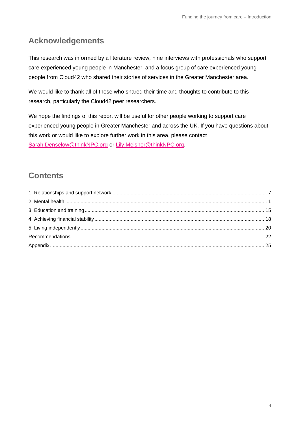### **Acknowledgements**

This research was informed by a literature review, nine interviews with professionals who support care experienced young people in Manchester, and a focus group of care experienced young people from Cloud42 who shared their stories of services in the Greater Manchester area.

We would like to thank all of those who shared their time and thoughts to contribute to this research, particularly the Cloud42 peer researchers.

We hope the findings of this report will be useful for other people working to support care experienced young people in Greater Manchester and across the UK. If you have questions about this work or would like to explore further work in this area, please contact [Sarah.Denselow@thinkNPC.org](mailto:Sarah.Denselow@thinkNPC.org) or [Lily.Meisner@thinkNPC.org.](mailto:Lily.Meisner@thinkNPC.org)

### **Contents**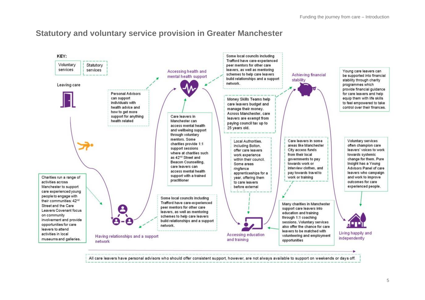#### **Statutory and voluntary service provision in Greater Manchester**



All care leavers have personal advisors who should offer consistent support, however, are not always available to support on weekends or days off.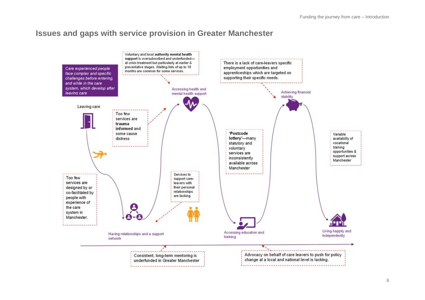#### **Issues and gaps with service provision in Greater Manchester**

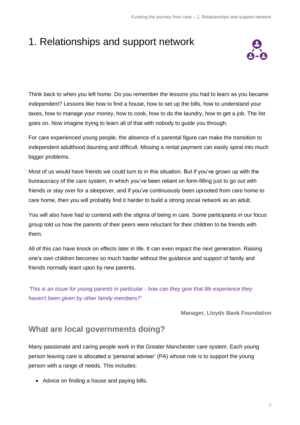## 1. Relationships and support network



Think back to when you left home. Do you remember the lessons you had to learn as you became independent? Lessons like how to find a house, how to set up the bills, how to understand your taxes, how to manage your money, how to cook, how to do the laundry, how to get a job. The list goes on. Now imagine trying to learn all of that with nobody to guide you through.

For care experienced young people, the absence of a parental figure can make the transition to independent adulthood daunting and difficult. Missing a rental payment can easily spiral into much bigger problems.

Most of us would have friends we could turn to in this situation. But if you've grown up with the bureaucracy of the care system, in which you've been reliant on form-filling just to go out with friends or stay over for a sleepover, and if you've continuously been uprooted from care home to care home, then you will probably find it harder to build a strong social network as an adult.

You will also have had to contend with the stigma of being in care. Some participants in our focus group told us how the parents of their peers were reluctant for their children to be friends with them.

All of this can have knock on effects later in life. It can even impact the next generation. Raising one's own children becomes so much harder without the guidance and support of family and friends normally leant upon by new parents.

*'This is an issue for young parents in particular - how can they give that life experience they haven't been given by other family members?'*

**Manager, Lloyds Bank Foundation**

#### **What are local governments doing?**

Many passionate and caring people work in the Greater Manchester care system. Each young person leaving care is allocated a 'personal adviser' (PA) whose role is to support the young person with a range of needs. This includes:

• Advice on finding a house and paying bills.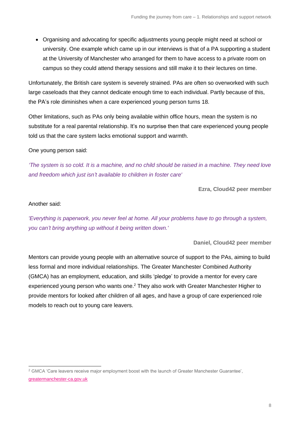• Organising and advocating for specific adjustments young people might need at school or university. One example which came up in our interviews is that of a PA supporting a student at the University of Manchester who arranged for them to have access to a private room on campus so they could attend therapy sessions and still make it to their lectures on time.

Unfortunately, the British care system is severely strained. PAs are often so overworked with such large caseloads that they cannot dedicate enough time to each individual. Partly because of this, the PA's role diminishes when a care experienced young person turns 18.

Other limitations, such as PAs only being available within office hours, mean the system is no substitute for a real parental relationship. It's no surprise then that care experienced young people told us that the care system lacks emotional support and warmth.

One young person said:

*'The system is so cold. It is a machine, and no child should be raised in a machine. They need love and freedom which just isn't available to children in foster care'*

**Ezra, Cloud42 peer member**

#### Another said:

*'Everything is paperwork, you never feel at home. All your problems have to go through a system, you can't bring anything up without it being written down.'*

**Daniel, Cloud42 peer member**

Mentors can provide young people with an alternative source of support to the PAs, aiming to build less formal and more individual relationships. The Greater Manchester Combined Authority (GMCA) has an employment, education, and skills 'pledge' to provide a mentor for every care experienced young person who wants one.<sup>2</sup> They also work with Greater Manchester Higher to provide mentors for looked after children of all ages, and have a group of care experienced role models to reach out to young care leavers.

<sup>&</sup>lt;sup>2</sup> GMCA 'Care leavers receive major employment boost with the launch of Greater Manchester Guarantee', [greatermanchester-ca.gov.uk](https://greatermanchester-ca.gov.uk/news/care-leavers-receive-major-employment-boost-with-launch-of-greater-manchester-guarantee/)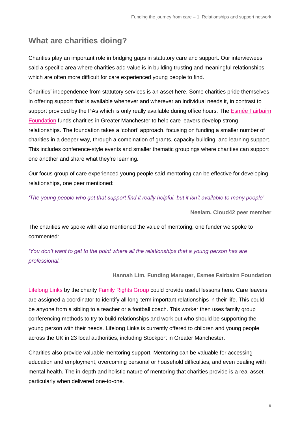#### **What are charities doing?**

Charities play an important role in bridging gaps in statutory care and support. Our interviewees said a specific area where charities add value is in building trusting and meaningful relationships which are often more difficult for care experienced young people to find.

Charities' independence from statutory services is an asset here. Some charities pride themselves in offering support that is available whenever and wherever an individual needs it, in contrast to support provided by the PAs which is only really available during office hours. The [Esmée Fairbairn](https://esmeefairbairn.org.uk/) [Foundation](https://esmeefairbairn.org.uk/) funds charities in Greater Manchester to help care leavers develop strong relationships. The foundation takes a 'cohort' approach, focusing on funding a smaller number of charities in a deeper way, through a combination of grants, capacity-building, and learning support. This includes conference-style events and smaller thematic groupings where charities can support one another and share what they're learning.

Our focus group of care experienced young people said mentoring can be effective for developing relationships, one peer mentioned:

*'The young people who get that support find it really helpful, but it isn't available to many people'*

**Neelam, Cloud42 peer member**

The charities we spoke with also mentioned the value of mentoring, one funder we spoke to commented:

*'You don't want to get to the point where all the relationships that a young person has are professional.'* 

#### **Hannah Lim, Funding Manager, Esmee Fairbairn Foundation**

[Lifelong Links](https://frg.org.uk/lifelong-links/) by the charity [Family Rights Group](https://frg.org.uk/) could provide useful lessons here. Care leavers are assigned a coordinator to identify all long-term important relationships in their life. This could be anyone from a sibling to a teacher or a football coach. This worker then uses family group conferencing methods to try to build relationships and work out who should be supporting the young person with their needs. Lifelong Links is currently offered to children and young people across the UK in 23 local authorities, including Stockport in Greater Manchester.

Charities also provide valuable mentoring support. Mentoring can be valuable for accessing education and employment, overcoming personal or household difficulties, and even dealing with mental health. The in-depth and holistic nature of mentoring that charities provide is a real asset, particularly when delivered one-to-one.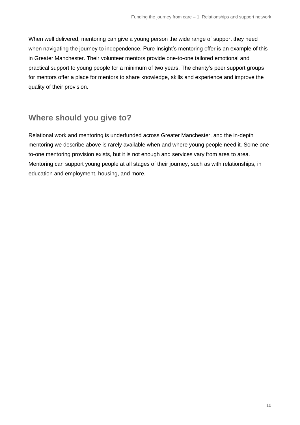When well delivered, mentoring can give a young person the wide range of support they need when navigating the journey to independence. Pure Insight's mentoring offer is an example of this in Greater Manchester. Their volunteer mentors provide one-to-one tailored emotional and practical support to young people for a minimum of two years. The charity's peer support groups for mentors offer a place for mentors to share knowledge, skills and experience and improve the quality of their provision.

#### **Where should you give to?**

Relational work and mentoring is underfunded across Greater Manchester, and the in-depth mentoring we describe above is rarely available when and where young people need it. Some oneto-one mentoring provision exists, but it is not enough and services vary from area to area. Mentoring can support young people at all stages of their journey, such as with relationships, in education and employment, housing, and more.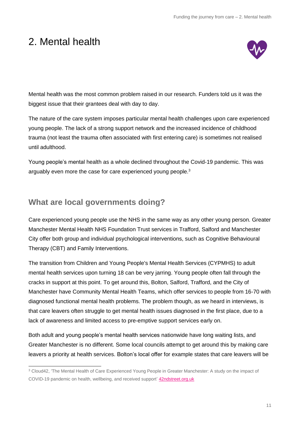## 2. Mental health



Mental health was the most common problem raised in our research. Funders told us it was the biggest issue that their grantees deal with day to day.

The nature of the care system imposes particular mental health challenges upon care experienced young people. The lack of a strong support network and the increased incidence of childhood trauma (not least the trauma often associated with first entering care) is sometimes not realised until adulthood.

Young people's mental health as a whole declined throughout the Covid-19 pandemic. This was arguably even more the case for care experienced young people.<sup>3</sup>

#### **What are local governments doing?**

Care experienced young people use the NHS in the same way as any other young person. Greater Manchester Mental Health NHS Foundation Trust services in Trafford, Salford and Manchester City offer both group and individual psychological interventions, such as Cognitive Behavioural Therapy (CBT) and Family Interventions.

The transition from Children and Young People's Mental Health Services (CYPMHS) to adult mental health services upon turning 18 can be very jarring. Young people often fall through the cracks in support at this point. To get around this, Bolton, Salford, Trafford, and the City of Manchester have Community Mental Health Teams, which offer services to people from 16-70 with diagnosed functional mental health problems. The problem though, as we heard in interviews, is that care leavers often struggle to get mental health issues diagnosed in the first place, due to a lack of awareness and limited access to pre-emptive support services early on.

Both adult and young people's mental health services nationwide have long waiting lists, and Greater Manchester is no different. Some local councils attempt to get around this by making care leavers a priority at health services. Bolton's local offer for example states that care leavers will be

<sup>3</sup> Cloud42, 'The Mental Health of Care Experienced Young People in Greater Manchester: A study on the impact of COVID-19 pandemic on health, wellbeing, and received support' [42ndstreet.org.uk](https://www.42ndstreet.org.uk/media/dpqlf1fq/cloud42-research-project.pdf)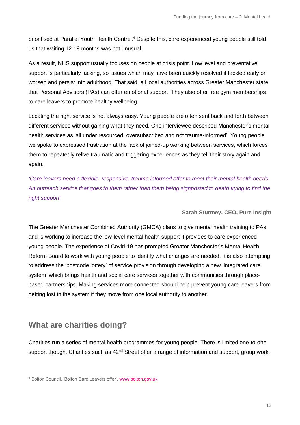prioritised at Parallel Youth Health Centre.<sup>4</sup> Despite this, care experienced young people still told us that waiting 12-18 months was not unusual.

As a result, NHS support usually focuses on people at crisis point. Low level and preventative support is particularly lacking, so issues which may have been quickly resolved if tackled early on worsen and persist into adulthood. That said, all local authorities across Greater Manchester state that Personal Advisors (PAs) can offer emotional support. They also offer free gym memberships to care leavers to promote healthy wellbeing.

Locating the right service is not always easy. Young people are often sent back and forth between different services without gaining what they need. One interviewee described Manchester's mental health services as 'all under resourced, oversubscribed and not trauma-informed'. Young people we spoke to expressed frustration at the lack of joined-up working between services, which forces them to repeatedly relive traumatic and triggering experiences as they tell their story again and again.

*'Care leavers need a flexible, responsive, trauma informed offer to meet their mental health needs. An outreach service that goes to them rather than them being signposted to death trying to find the right support'*

#### **Sarah Sturmey, CEO, Pure Insight**

The Greater Manchester Combined Authority (GMCA) plans to give mental health training to PAs and is working to increase the low-level mental health support it provides to care experienced young people. The experience of Covid-19 has prompted Greater Manchester's Mental Health Reform Board to work with young people to identify what changes are needed. It is also attempting to address the 'postcode lottery' of service provision through developing a new 'integrated care system' which brings health and social care services together with communities through placebased partnerships. Making services more connected should help prevent young care leavers from getting lost in the system if they move from one local authority to another.

#### **What are charities doing?**

Charities run a series of mental health programmes for young people. There is limited one-to-one support though. Charities such as 42<sup>nd</sup> Street offer a range of information and support, group work,

<sup>4</sup> Bolton Council, 'Bolton Care Leavers offer', [www.bolton.gov.uk](https://www.bolton.gov.uk/downloads/file/2349/bolton-care-leavers-offer)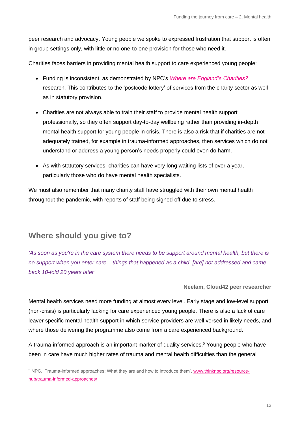peer research and advocacy. Young people we spoke to expressed frustration that support is often in group settings only, with little or no one-to-one provision for those who need it.

Charities faces barriers in providing mental health support to care experienced young people:

- Funding is inconsistent, as demonstrated by NPC's *[Where are England's Charities?](https://www.thinknpc.org/resource-hub/where-are-englands-charities/)* research. This contributes to the 'postcode lottery' of services from the charity sector as well as in statutory provision.
- Charities are not always able to train their staff to provide mental health support professionally, so they often support day-to-day wellbeing rather than providing in-depth mental health support for young people in crisis. There is also a risk that if charities are not adequately trained, for example in trauma-informed approaches, then services which do not understand or address a young person's needs properly could even do harm.
- As with statutory services, charities can have very long waiting lists of over a year, particularly those who do have mental health specialists.

We must also remember that many charity staff have struggled with their own mental health throughout the pandemic, with reports of staff being signed off due to stress.

#### **Where should you give to?**

*'As soon as you're in the care system there needs to be support around mental health, but there is no support when you enter care... things that happened as a child, [are] not addressed and came back 10-fold 20 years later'*

**Neelam, Cloud42 peer researcher**

Mental health services need more funding at almost every level. Early stage and low-level support (non-crisis) is particularly lacking for care experienced young people. There is also a lack of care leaver specific mental health support in which service providers are well versed in likely needs, and where those delivering the programme also come from a care experienced background.

A trauma-informed approach is an important marker of quality services.<sup>5</sup> Young people who have been in care have much higher rates of trauma and mental health difficulties than the general

<sup>5</sup> NPC, 'Trauma-informed approaches: What they are and how to introduce them'[, www.thinknpc.org/resource](https://www.thinknpc.org/resource-hub/trauma-informed-approaches/)[hub/trauma-informed-approaches/](https://www.thinknpc.org/resource-hub/trauma-informed-approaches/)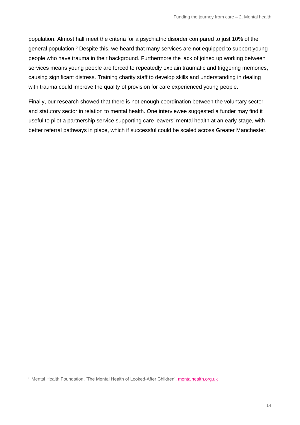population. Almost half meet the criteria for a psychiatric disorder compared to just 10% of the general population.<sup>6</sup> Despite this, we heard that many services are not equipped to support young people who have trauma in their background. Furthermore the lack of joined up working between services means young people are forced to repeatedly explain traumatic and triggering memories, causing significant distress. Training charity staff to develop skills and understanding in dealing with trauma could improve the quality of provision for care experienced young people.

Finally, our research showed that there is not enough coordination between the voluntary sector and statutory sector in relation to mental health. One interviewee suggested a funder may find it useful to pilot a partnership service supporting care leavers' mental health at an early stage, with better referral pathways in place, which if successful could be scaled across Greater Manchester.

<sup>6</sup> Mental Health Foundation, 'The Mental Health of Looked-After Children', [mentalhealth.org.uk](https://www.mentalhealth.org.uk/sites/default/files/mental_health_looked_after_children.pdf)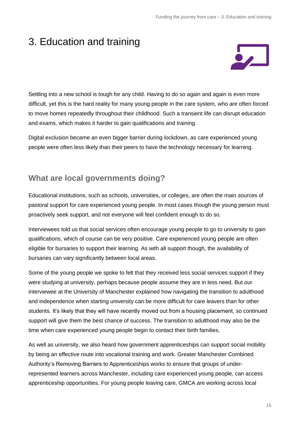## 3. Education and training



Settling into a new school is tough for any child. Having to do so again and again is even more difficult, yet this is the hard reality for many young people in the care system, who are often forced to move homes repeatedly throughout their childhood. Such a transient life can disrupt education and exams, which makes it harder to gain qualifications and training.

Digital exclusion became an even bigger barrier during lockdown, as care experienced young people were often less likely than their peers to have the technology necessary for learning.

#### **What are local governments doing?**

Educational institutions, such as schools, universities, or colleges, are often the main sources of pastoral support for care experienced young people. In most cases though the young person must proactively seek support, and not everyone will feel confident enough to do so.

Interviewees told us that social services often encourage young people to go to university to gain qualifications, which of course can be very positive. Care experienced young people are often eligible for bursaries to support their learning. As with all support though, the availability of bursaries can vary significantly between local areas.

Some of the young people we spoke to felt that they received less social services support if they were studying at university, perhaps because people assume they are in less need. But our interviewee at the University of Manchester explained how navigating the transition to adulthood and independence when starting university can be more difficult for care leavers than for other students. It's likely that they will have recently moved out from a housing placement, so continued support will give them the best chance of success. The transition to adulthood may also be the time when care experienced young people begin to contact their birth families.

As well as university, we also heard how government apprenticeships can support social mobility by being an effective route into vocational training and work. Greater Manchester Combined Authority's Removing Barriers to Apprenticeships works to ensure that groups of underrepresented learners across Manchester, including care experienced young people, can access apprenticeship opportunities. For young people leaving care, GMCA are working across local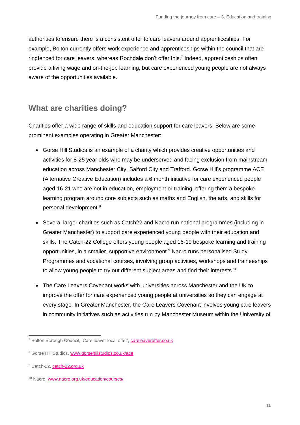authorities to ensure there is a consistent offer to care leavers around apprenticeships. For example, Bolton currently offers work experience and apprenticeships within the council that are ringfenced for care leavers, whereas Rochdale don't offer this.<sup>7</sup> Indeed, apprenticeships often provide a living wage and on-the-job learning, but care experienced young people are not always aware of the opportunities available.

#### **What are charities doing?**

Charities offer a wide range of skills and education support for care leavers. Below are some prominent examples operating in Greater Manchester:

- Gorse Hill Studios is an example of a charity which provides creative opportunities and activities for 8-25 year olds who may be underserved and facing exclusion from mainstream education across Manchester City, Salford City and Trafford. Gorse Hill's programme ACE (Alternative Creative Education) includes a 6 month initiative for care experienced people aged 16-21 who are not in education, employment or training, offering them a bespoke learning program around core subjects such as maths and English, the arts, and skills for personal development.<sup>8</sup>
- Several larger charities such as Catch22 and Nacro run national programmes (including in Greater Manchester) to support care experienced young people with their education and skills. The Catch-22 College offers young people aged 16-19 bespoke learning and training opportunities, in a smaller, supportive environment. <sup>9</sup> Nacro runs personalised Study Programmes and vocational courses, involving group activities, workshops and traineeships to allow young people to try out different subject areas and find their interests.<sup>10</sup>
- The Care Leavers Covenant works with universities across Manchester and the UK to improve the offer for care experienced young people at universities so they can engage at every stage. In Greater Manchester, the Care Leavers Covenant involves young care leavers in community initiatives such as activities run by Manchester Museum within the University of

<sup>7</sup> Bolton Borough Council, 'Care leaver local offer', [careleaveroffer.co.uk](https://www.careleaveroffer.co.uk/organisations/31638-bolton-borough-council?term=bolton)

<sup>8</sup> Gorse Hill Studios[, www.gorsehillstudios.co.uk/ace](https://www.gorsehillstudios.co.uk/ace)

<sup>&</sup>lt;sup>9</sup> Catch-22, [catch-22.org.uk](https://www.catch-22.org.uk/offers/vocational-training-skills-programmes/)

<sup>10</sup> Nacro, [www.nacro.org.uk/education/courses/](https://www.nacro.org.uk/education/courses/)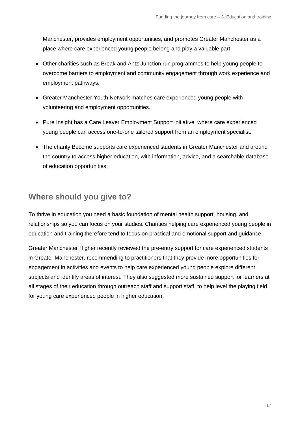Manchester, provides employment opportunities, and promotes Greater Manchester as a place where care experienced young people belong and play a valuable part.

- Other charities such as Break and Antz Junction run programmes to help young people to overcome barriers to employment and community engagement through work experience and employment pathways.
- Greater Manchester Youth Network matches care experienced young people with volunteering and employment opportunities.
- Pure Insight has a Care Leaver Employment Support initiative, where care experienced young people can access one-to-one tailored support from an employment specialist.
- The charity Become supports care experienced students in Greater Manchester and around the country to access higher education, with information, advice, and a searchable database of education opportunities.

#### **Where should you give to?**

To thrive in education you need a basic foundation of mental health support, housing, and relationships so you can focus on your studies. Charities helping care experienced young people in education and training therefore tend to focus on practical and emotional support and guidance.

Greater Manchester Higher recently reviewed the pre-entry support for care experienced students in Greater Manchester, recommending to practitioners that they provide more opportunities for engagement in activities and events to help care experienced young people explore different subjects and identify areas of interest. They also suggested more sustained support for learners at all stages of their education through outreach staff and support staff, to help level the playing field for young care experienced people in higher education.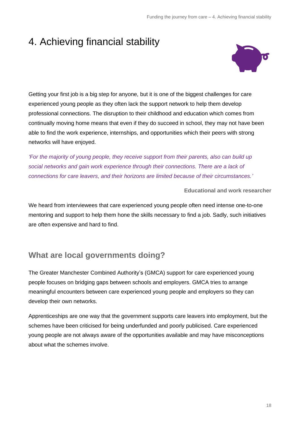## 4. Achieving financial stability



Getting your first job is a big step for anyone, but it is one of the biggest challenges for care experienced young people as they often lack the support network to help them develop professional connections. The disruption to their childhood and education which comes from continually moving home means that even if they do succeed in school, they may not have been able to find the work experience, internships, and opportunities which their peers with strong networks will have enjoyed.

*'For the majority of young people, they receive support from their parents, also can build up social networks and gain work experience through their connections. There are a lack of connections for care leavers, and their horizons are limited because of their circumstances.'*

**Educational and work researcher**

We heard from interviewees that care experienced young people often need intense one-to-one mentoring and support to help them hone the skills necessary to find a job. Sadly, such initiatives are often expensive and hard to find.

### **What are local governments doing?**

The Greater Manchester Combined Authority's (GMCA) support for care experienced young people focuses on bridging gaps between schools and employers. GMCA tries to arrange meaningful encounters between care experienced young people and employers so they can develop their own networks.

Apprenticeships are one way that the government supports care leavers into employment, but the schemes have been criticised for being underfunded and poorly publicised. Care experienced young people are not always aware of the opportunities available and may have misconceptions about what the schemes involve.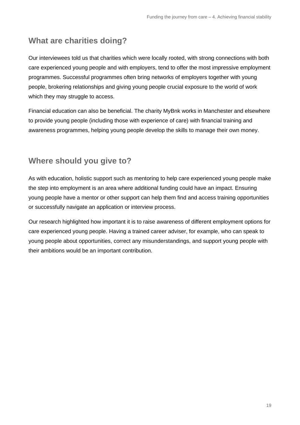#### **What are charities doing?**

Our interviewees told us that charities which were locally rooted, with strong connections with both care experienced young people and with employers, tend to offer the most impressive employment programmes. Successful programmes often bring networks of employers together with young people, brokering relationships and giving young people crucial exposure to the world of work which they may struggle to access.

Financial education can also be beneficial. The charity MyBnk works in Manchester and elsewhere to provide young people (including those with experience of care) with financial training and awareness programmes, helping young people develop the skills to manage their own money.

#### **Where should you give to?**

As with education, holistic support such as mentoring to help care experienced young people make the step into employment is an area where additional funding could have an impact. Ensuring young people have a mentor or other support can help them find and access training opportunities or successfully navigate an application or interview process.

Our research highlighted how important it is to raise awareness of different employment options for care experienced young people. Having a trained career adviser, for example, who can speak to young people about opportunities, correct any misunderstandings, and support young people with their ambitions would be an important contribution.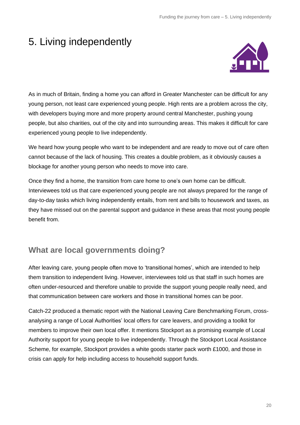## 5. Living independently



As in much of Britain, finding a home you can afford in Greater Manchester can be difficult for any young person, not least care experienced young people. High rents are a problem across the city, with developers buying more and more property around central Manchester, pushing young people, but also charities, out of the city and into surrounding areas. This makes it difficult for care experienced young people to live independently.

We heard how young people who want to be independent and are ready to move out of care often cannot because of the lack of housing. This creates a double problem, as it obviously causes a blockage for another young person who needs to move into care.

Once they find a home, the transition from care home to one's own home can be difficult. Interviewees told us that care experienced young people are not always prepared for the range of day-to-day tasks which living independently entails, from rent and bills to housework and taxes, as they have missed out on the parental support and guidance in these areas that most young people benefit from.

### **What are local governments doing?**

After leaving care, young people often move to 'transitional homes', which are intended to help them transition to independent living. However, interviewees told us that staff in such homes are often under-resourced and therefore unable to provide the support young people really need, and that communication between care workers and those in transitional homes can be poor.

Catch-22 produced a thematic report with the National Leaving Care Benchmarking Forum, crossanalysing a range of Local Authorities' local offers for care leavers, and providing a toolkit for members to improve their own local offer. It mentions Stockport as a promising example of Local Authority support for young people to live independently. Through the Stockport Local Assistance Scheme, for example, Stockport provides a white goods starter pack worth £1000, and those in crisis can apply for help including access to household support funds.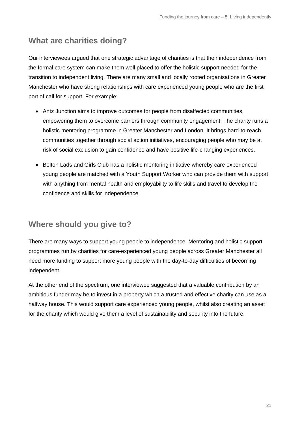#### **What are charities doing?**

Our interviewees argued that one strategic advantage of charities is that their independence from the formal care system can make them well placed to offer the holistic support needed for the transition to independent living. There are many small and locally rooted organisations in Greater Manchester who have strong relationships with care experienced young people who are the first port of call for support. For example:

- Antz Junction aims to improve outcomes for people from disaffected communities, empowering them to overcome barriers through community engagement. The charity runs a holistic mentoring programme in Greater Manchester and London. It brings hard-to-reach communities together through social action initiatives, encouraging people who may be at risk of social exclusion to gain confidence and have positive life-changing experiences.
- Bolton Lads and Girls Club has a holistic mentoring initiative whereby care experienced young people are matched with a Youth Support Worker who can provide them with support with anything from mental health and employability to life skills and travel to develop the confidence and skills for independence.

#### **Where should you give to?**

There are many ways to support young people to independence. Mentoring and holistic support programmes run by charities for care-experienced young people across Greater Manchester all need more funding to support more young people with the day-to-day difficulties of becoming independent.

At the other end of the spectrum, one interviewee suggested that a valuable contribution by an ambitious funder may be to invest in a property which a trusted and effective charity can use as a halfway house. This would support care experienced young people, whilst also creating an asset for the charity which would give them a level of sustainability and security into the future.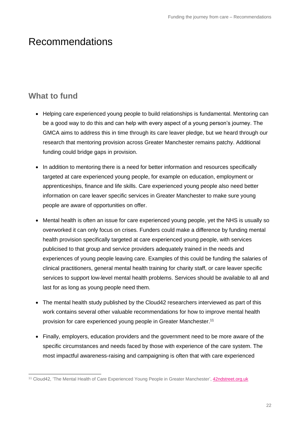## Recommendations

#### **What to fund**

- Helping care experienced young people to build relationships is fundamental. Mentoring can be a good way to do this and can help with every aspect of a young person's journey. The GMCA aims to address this in time through its care leaver pledge, but we heard through our research that mentoring provision across Greater Manchester remains patchy. Additional funding could bridge gaps in provision.
- In addition to mentoring there is a need for better information and resources specifically targeted at care experienced young people, for example on education, employment or apprenticeships, finance and life skills. Care experienced young people also need better information on care leaver specific services in Greater Manchester to make sure young people are aware of opportunities on offer.
- Mental health is often an issue for care experienced young people, yet the NHS is usually so overworked it can only focus on crises. Funders could make a difference by funding mental health provision specifically targeted at care experienced young people, with services publicised to that group and service providers adequately trained in the needs and experiences of young people leaving care. Examples of this could be funding the salaries of clinical practitioners, general mental health training for charity staff, or care leaver specific services to support low-level mental health problems. Services should be available to all and last for as long as young people need them.
- The mental health study published by the Cloud42 researchers interviewed as part of this work contains several other valuable recommendations for how to improve mental health provision for care experienced young people in Greater Manchester.<sup>11</sup>
- Finally, employers, education providers and the government need to be more aware of the specific circumstances and needs faced by those with experience of the care system. The most impactful awareness-raising and campaigning is often that with care experienced

<sup>11</sup> Cloud42, 'The Mental Health of Care Experienced Young People in Greater Manchester'[, 42ndstreet.org.uk](https://www.42ndstreet.org.uk/media/dpqlf1fq/cloud42-research-project.pdf)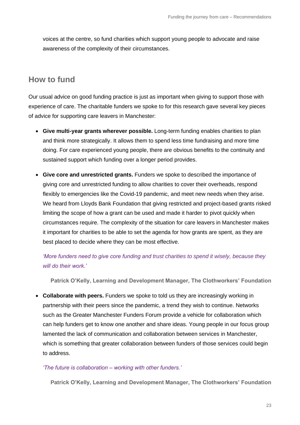voices at the centre, so fund charities which support young people to advocate and raise awareness of the complexity of their circumstances.

#### **How to fund**

Our usual advice on good funding practice is just as important when giving to support those with experience of care. The charitable funders we spoke to for this research gave several key pieces of advice for supporting care leavers in Manchester:

- **Give multi-year grants wherever possible.** Long-term funding enables charities to plan and think more strategically. It allows them to spend less time fundraising and more time doing. For care experienced young people, there are obvious benefits to the continuity and sustained support which funding over a longer period provides.
- **Give core and unrestricted grants.** Funders we spoke to described the importance of giving core and unrestricted funding to allow charities to cover their overheads, respond flexibly to emergencies like the Covid-19 pandemic, and meet new needs when they arise. We heard from Lloyds Bank Foundation that giving restricted and project-based grants risked limiting the scope of how a grant can be used and made it harder to pivot quickly when circumstances require. The complexity of the situation for care leavers in Manchester makes it important for charities to be able to set the agenda for how grants are spent, as they are best placed to decide where they can be most effective.

#### *'More funders need to give core funding and trust charities to spend it wisely, because they will do their work.'*

**Patrick O'Kelly, Learning and Development Manager, The Clothworkers' Foundation**

• **Collaborate with peers.** Funders we spoke to told us they are increasingly working in partnership with their peers since the pandemic, a trend they wish to continue. Networks such as the Greater Manchester Funders Forum provide a vehicle for collaboration which can help funders get to know one another and share ideas. Young people in our focus group lamented the lack of communication and collaboration between services in Manchester, which is something that greater collaboration between funders of those services could begin to address.

#### *'The future is collaboration – working with other funders.'*

**Patrick O'Kelly, Learning and Development Manager, The Clothworkers' Foundation**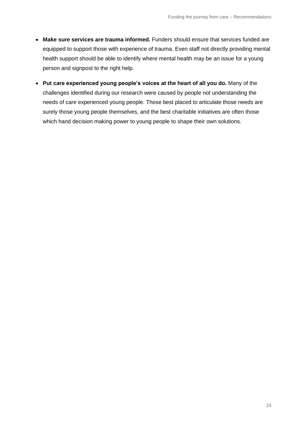- **Make sure services are trauma informed.** Funders should ensure that services funded are equipped to support those with experience of trauma. Even staff not directly providing mental health support should be able to identify where mental health may be an issue for a young person and signpost to the right help.
- **Put care experienced young people's voices at the heart of all you do.** Many of the challenges identified during our research were caused by people not understanding the needs of care experienced young people. Those best placed to articulate those needs are surely those young people themselves, and the best charitable initiatives are often those which hand decision making power to young people to shape their own solutions.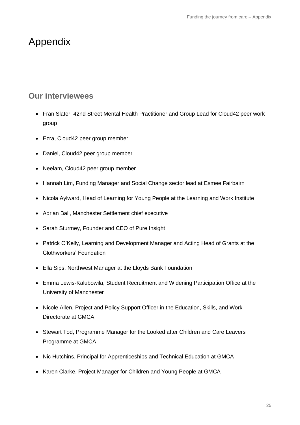## Appendix

#### **Our interviewees**

- Fran Slater, 42nd Street Mental Health Practitioner and Group Lead for Cloud42 peer work group
- Ezra, Cloud42 peer group member
- Daniel, Cloud42 peer group member
- Neelam, Cloud42 peer group member
- Hannah Lim, Funding Manager and Social Change sector lead at Esmee Fairbairn
- Nicola Aylward, Head of Learning for Young People at the Learning and Work Institute
- Adrian Ball, Manchester Settlement chief executive
- Sarah Sturmey, Founder and CEO of Pure Insight
- Patrick O'Kelly, Learning and Development Manager and Acting Head of Grants at the Clothworkers' Foundation
- Ella Sips, Northwest Manager at the Lloyds Bank Foundation
- Emma Lewis-Kalubowila, Student Recruitment and Widening Participation Office at the University of Manchester
- Nicole Allen, Project and Policy Support Officer in the Education, Skills, and Work Directorate at GMCA
- Stewart Tod, Programme Manager for the Looked after Children and Care Leavers Programme at GMCA
- Nic Hutchins, Principal for Apprenticeships and Technical Education at GMCA
- Karen Clarke, Project Manager for Children and Young People at GMCA